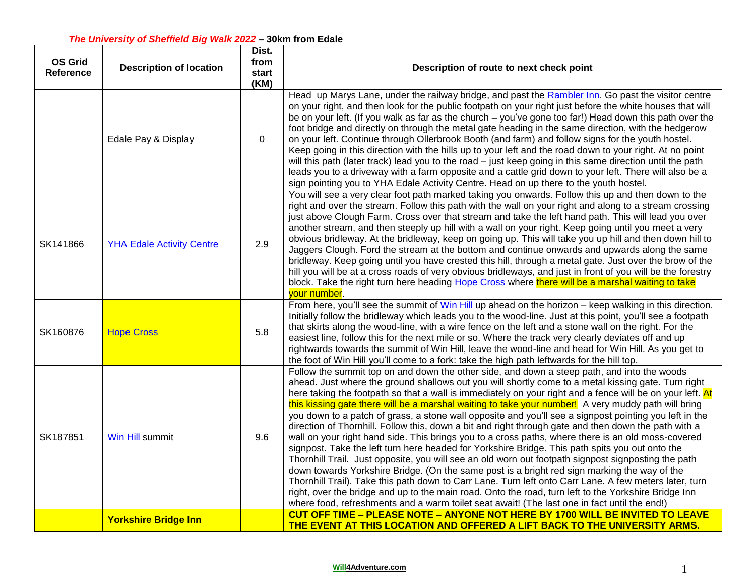| <b>OS Grid</b><br><b>Reference</b> | <b>Description of location</b>   | Dist.<br>from<br>start<br>(KM) | Description of route to next check point                                                                                                                                                                                                                                                                                                                                                                                                                                                                                                                                                                                                                                                                                                                                                                                                                                                                                                                                                                                                                                                                                                                                                                                                                                                                                                                                   |
|------------------------------------|----------------------------------|--------------------------------|----------------------------------------------------------------------------------------------------------------------------------------------------------------------------------------------------------------------------------------------------------------------------------------------------------------------------------------------------------------------------------------------------------------------------------------------------------------------------------------------------------------------------------------------------------------------------------------------------------------------------------------------------------------------------------------------------------------------------------------------------------------------------------------------------------------------------------------------------------------------------------------------------------------------------------------------------------------------------------------------------------------------------------------------------------------------------------------------------------------------------------------------------------------------------------------------------------------------------------------------------------------------------------------------------------------------------------------------------------------------------|
|                                    | Edale Pay & Display              | $\Omega$                       | Head up Marys Lane, under the railway bridge, and past the Rambler Inn. Go past the visitor centre<br>on your right, and then look for the public footpath on your right just before the white houses that will<br>be on your left. (If you walk as far as the church - you've gone too far!) Head down this path over the<br>foot bridge and directly on through the metal gate heading in the same direction, with the hedgerow<br>on your left. Continue through Ollerbrook Booth (and farm) and follow signs for the youth hostel.<br>Keep going in this direction with the hills up to your left and the road down to your right. At no point<br>will this path (later track) lead you to the road - just keep going in this same direction until the path<br>leads you to a driveway with a farm opposite and a cattle grid down to your left. There will also be a<br>sign pointing you to YHA Edale Activity Centre. Head on up there to the youth hostel.                                                                                                                                                                                                                                                                                                                                                                                                         |
| SK141866                           | <b>YHA Edale Activity Centre</b> | 2.9                            | You will see a very clear foot path marked taking you onwards. Follow this up and then down to the<br>right and over the stream. Follow this path with the wall on your right and along to a stream crossing<br>just above Clough Farm. Cross over that stream and take the left hand path. This will lead you over<br>another stream, and then steeply up hill with a wall on your right. Keep going until you meet a very<br>obvious bridleway. At the bridleway, keep on going up. This will take you up hill and then down hill to<br>Jaggers Clough. Ford the stream at the bottom and continue onwards and upwards along the same<br>bridleway. Keep going until you have crested this hill, through a metal gate. Just over the brow of the<br>hill you will be at a cross roads of very obvious bridleways, and just in front of you will be the forestry<br>block. Take the right turn here heading Hope Cross where there will be a marshal waiting to take<br>vour number.                                                                                                                                                                                                                                                                                                                                                                                      |
| SK160876                           | <b>Hope Cross</b>                | 5.8                            | From here, you'll see the summit of Win Hill up ahead on the horizon $-$ keep walking in this direction.<br>Initially follow the bridleway which leads you to the wood-line. Just at this point, you'll see a footpath<br>that skirts along the wood-line, with a wire fence on the left and a stone wall on the right. For the<br>easiest line, follow this for the next mile or so. Where the track very clearly deviates off and up<br>rightwards towards the summit of Win Hill, leave the wood-line and head for Win Hill. As you get to<br>the foot of Win Hill you'll come to a fork: take the high path leftwards for the hill top.                                                                                                                                                                                                                                                                                                                                                                                                                                                                                                                                                                                                                                                                                                                                |
| SK187851                           | Win Hill summit                  | 9.6                            | Follow the summit top on and down the other side, and down a steep path, and into the woods<br>ahead. Just where the ground shallows out you will shortly come to a metal kissing gate. Turn right<br>here taking the footpath so that a wall is immediately on your right and a fence will be on your left. At<br>this kissing gate there will be a marshal waiting to take your number! A very muddy path will bring<br>you down to a patch of grass, a stone wall opposite and you'll see a signpost pointing you left in the<br>direction of Thornhill. Follow this, down a bit and right through gate and then down the path with a<br>wall on your right hand side. This brings you to a cross paths, where there is an old moss-covered<br>signpost. Take the left turn here headed for Yorkshire Bridge. This path spits you out onto the<br>Thornhill Trail. Just opposite, you will see an old worn out footpath signpost signposting the path<br>down towards Yorkshire Bridge. (On the same post is a bright red sign marking the way of the<br>Thornhill Trail). Take this path down to Carr Lane. Turn left onto Carr Lane. A few meters later, turn<br>right, over the bridge and up to the main road. Onto the road, turn left to the Yorkshire Bridge Inn<br>where food, refreshments and a warm toilet seat await! (The last one in fact until the end!) |
|                                    | <b>Yorkshire Bridge Inn</b>      |                                | CUT OFF TIME - PLEASE NOTE - ANYONE NOT HERE BY 1700 WILL BE INVITED TO LEAVE<br>THE EVENT AT THIS LOCATION AND OFFERED A LIFT BACK TO THE UNIVERSITY ARMS.                                                                                                                                                                                                                                                                                                                                                                                                                                                                                                                                                                                                                                                                                                                                                                                                                                                                                                                                                                                                                                                                                                                                                                                                                |

## **[Will4Adventure.com](https://will4adventure.com/)** 1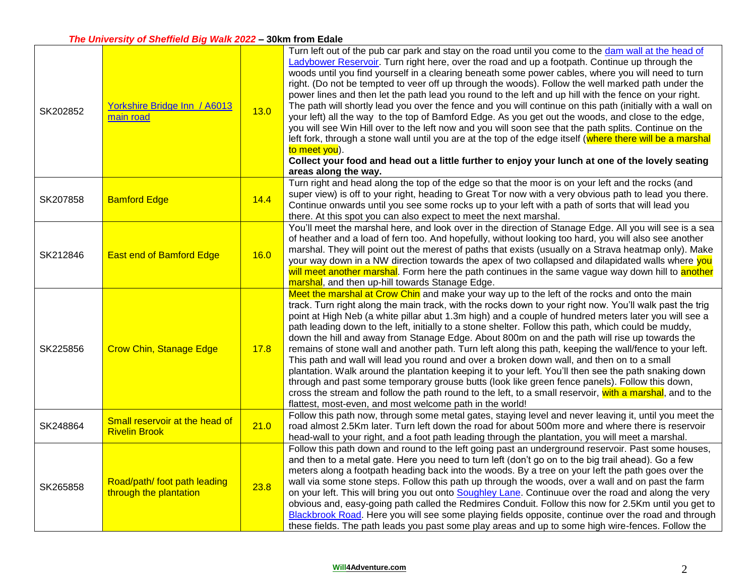## *The University of Sheffield Big Walk 2022* **– 30km from Edale**

| SK202852 | Yorkshire Bridge Inn / A6013<br>main road              | 13.0 | Turn left out of the pub car park and stay on the road until you come to the dam wall at the head of<br>Ladybower Reservoir. Turn right here, over the road and up a footpath. Continue up through the<br>woods until you find yourself in a clearing beneath some power cables, where you will need to turn<br>right. (Do not be tempted to veer off up through the woods). Follow the well marked path under the<br>power lines and then let the path lead you round to the left and up hill with the fence on your right.<br>The path will shortly lead you over the fence and you will continue on this path (initially with a wall on<br>your left) all the way to the top of Bamford Edge. As you get out the woods, and close to the edge,<br>you will see Win Hill over to the left now and you will soon see that the path splits. Continue on the<br>left fork, through a stone wall until you are at the top of the edge itself (where there will be a marshal<br>to meet you).<br>Collect your food and head out a little further to enjoy your lunch at one of the lovely seating<br>areas along the way.  |
|----------|--------------------------------------------------------|------|-------------------------------------------------------------------------------------------------------------------------------------------------------------------------------------------------------------------------------------------------------------------------------------------------------------------------------------------------------------------------------------------------------------------------------------------------------------------------------------------------------------------------------------------------------------------------------------------------------------------------------------------------------------------------------------------------------------------------------------------------------------------------------------------------------------------------------------------------------------------------------------------------------------------------------------------------------------------------------------------------------------------------------------------------------------------------------------------------------------------------|
| SK207858 | <b>Bamford Edge</b>                                    | 14.4 | Turn right and head along the top of the edge so that the moor is on your left and the rocks (and<br>super view) is off to your right, heading to Great Tor now with a very obvious path to lead you there.<br>Continue onwards until you see some rocks up to your left with a path of sorts that will lead you<br>there. At this spot you can also expect to meet the next marshal.                                                                                                                                                                                                                                                                                                                                                                                                                                                                                                                                                                                                                                                                                                                                   |
| SK212846 | <b>East end of Bamford Edge</b>                        | 16.0 | You'll meet the marshal here, and look over in the direction of Stanage Edge. All you will see is a sea<br>of heather and a load of fern too. And hopefully, without looking too hard, you will also see another<br>marshal. They will point out the merest of paths that exists (usually on a Strava heatmap only). Make<br>your way down in a NW direction towards the apex of two collapsed and dilapidated walls where you<br>will meet another marshal. Form here the path continues in the same vague way down hill to another<br>marshal, and then up-hill towards Stanage Edge.                                                                                                                                                                                                                                                                                                                                                                                                                                                                                                                                 |
| SK225856 | <b>Crow Chin, Stanage Edge</b>                         | 17.8 | Meet the marshal at Crow Chin and make your way up to the left of the rocks and onto the main<br>track. Turn right along the main track, with the rocks down to your right now. You'll walk past the trig<br>point at High Neb (a white pillar abut 1.3m high) and a couple of hundred meters later you will see a<br>path leading down to the left, initially to a stone shelter. Follow this path, which could be muddy,<br>down the hill and away from Stanage Edge. About 800m on and the path will rise up towards the<br>remains of stone wall and another path. Turn left along this path, keeping the wall/fence to your left.<br>This path and wall will lead you round and over a broken down wall, and then on to a small<br>plantation. Walk around the plantation keeping it to your left. You'll then see the path snaking down<br>through and past some temporary grouse butts (look like green fence panels). Follow this down,<br>cross the stream and follow the path round to the left, to a small reservoir, with a marshal, and to the<br>flattest, most-even, and most welcome path in the world! |
| SK248864 | Small reservoir at the head of<br><b>Rivelin Brook</b> | 21.0 | Follow this path now, through some metal gates, staying level and never leaving it, until you meet the<br>road almost 2.5Km later. Turn left down the road for about 500m more and where there is reservoir<br>head-wall to your right, and a foot path leading through the plantation, you will meet a marshal.                                                                                                                                                                                                                                                                                                                                                                                                                                                                                                                                                                                                                                                                                                                                                                                                        |
| SK265858 | Road/path/ foot path leading<br>through the plantation | 23.8 | Follow this path down and round to the left going past an underground reservoir. Past some houses,<br>and then to a metal gate. Here you need to turn left (don't go on to the big trail ahead). Go a few<br>meters along a footpath heading back into the woods. By a tree on your left the path goes over the<br>wall via some stone steps. Follow this path up through the woods, over a wall and on past the farm<br>on your left. This will bring you out onto Soughley Lane. Continuue over the road and along the very<br>obvious and, easy-going path called the Redmires Conduit. Follow this now for 2.5Km until you get to<br>Blackbrook Road. Here you will see some playing fields opposite, continue over the road and through<br>these fields. The path leads you past some play areas and up to some high wire-fences. Follow the                                                                                                                                                                                                                                                                       |

## **[Will4Adventure.com](https://will4adventure.com/)** 2